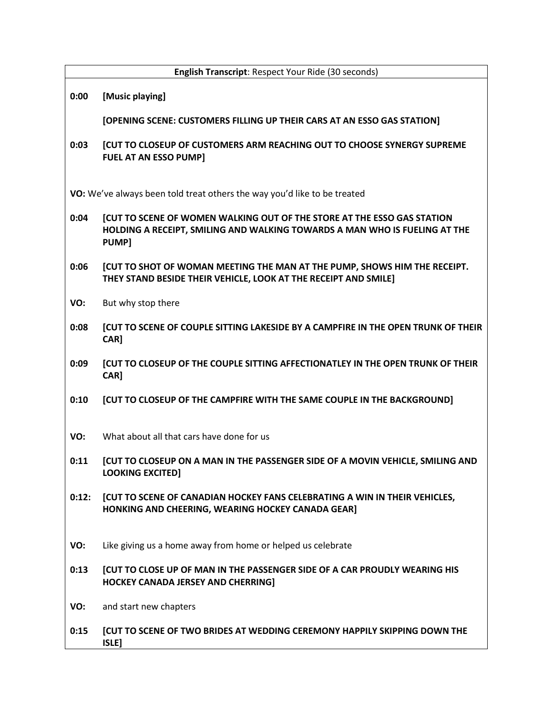| English Transcript: Respect Your Ride (30 seconds)                       |                                                                                                                                                                |
|--------------------------------------------------------------------------|----------------------------------------------------------------------------------------------------------------------------------------------------------------|
| 0:00                                                                     | [Music playing]                                                                                                                                                |
|                                                                          | [OPENING SCENE: CUSTOMERS FILLING UP THEIR CARS AT AN ESSO GAS STATION]                                                                                        |
| 0:03                                                                     | [CUT TO CLOSEUP OF CUSTOMERS ARM REACHING OUT TO CHOOSE SYNERGY SUPREME<br><b>FUEL AT AN ESSO PUMP]</b>                                                        |
| VO: We've always been told treat others the way you'd like to be treated |                                                                                                                                                                |
| 0:04                                                                     | [CUT TO SCENE OF WOMEN WALKING OUT OF THE STORE AT THE ESSO GAS STATION<br>HOLDING A RECEIPT, SMILING AND WALKING TOWARDS A MAN WHO IS FUELING AT THE<br>PUMP] |
| 0:06                                                                     | [CUT TO SHOT OF WOMAN MEETING THE MAN AT THE PUMP, SHOWS HIM THE RECEIPT.<br>THEY STAND BESIDE THEIR VEHICLE, LOOK AT THE RECEIPT AND SMILE]                   |
| VO:                                                                      | But why stop there                                                                                                                                             |
| 0:08                                                                     | <b>[CUT TO SCENE OF COUPLE SITTING LAKESIDE BY A CAMPFIRE IN THE OPEN TRUNK OF THEIR</b><br>CAR]                                                               |
| 0:09                                                                     | [CUT TO CLOSEUP OF THE COUPLE SITTING AFFECTIONATLEY IN THE OPEN TRUNK OF THEIR<br>CAR]                                                                        |
| 0:10                                                                     | [CUT TO CLOSEUP OF THE CAMPFIRE WITH THE SAME COUPLE IN THE BACKGROUND]                                                                                        |
| VO:                                                                      | What about all that cars have done for us                                                                                                                      |
| 0:11                                                                     | <b>[CUT TO CLOSEUP ON A MAN IN THE PASSENGER SIDE OF A MOVIN VEHICLE, SMILING AND</b><br><b>LOOKING EXCITED]</b>                                               |
| 0:12:                                                                    | <b>[CUT TO SCENE OF CANADIAN HOCKEY FANS CELEBRATING A WIN IN THEIR VEHICLES,</b><br>HONKING AND CHEERING, WEARING HOCKEY CANADA GEAR]                         |
| VO:                                                                      | Like giving us a home away from home or helped us celebrate                                                                                                    |
| 0:13                                                                     | <b>[CUT TO CLOSE UP OF MAN IN THE PASSENGER SIDE OF A CAR PROUDLY WEARING HIS</b><br><b>HOCKEY CANADA JERSEY AND CHERRING]</b>                                 |
| VO:                                                                      | and start new chapters                                                                                                                                         |
| 0:15                                                                     | [CUT TO SCENE OF TWO BRIDES AT WEDDING CEREMONY HAPPILY SKIPPING DOWN THE<br>ISLE]                                                                             |